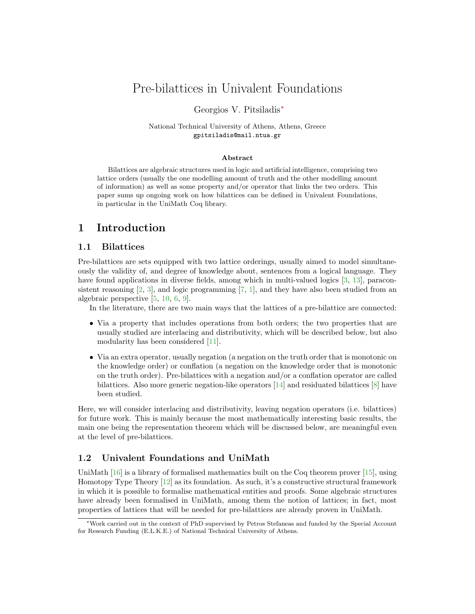# Pre-bilattices in Univalent Foundations

#### Georgios V. Pitsiladis<sup>∗</sup>

#### National Technical University of Athens, Athens, Greece gpitsiladis@mail.ntua.gr

#### Abstract

Bilattices are algebraic structures used in logic and artificial intelligence, comprising two lattice orders (usually the one modelling amount of truth and the other modelling amount of information) as well as some property and/or operator that links the two orders. This paper sums up ongoing work on how bilattices can be defined in Univalent Foundations, in particular in the UniMath Coq library.

# 1 Introduction

### 1.1 Bilattices

Pre-bilattices are sets equipped with two lattice orderings, usually aimed to model simultaneously the validity of, and degree of knowledge about, sentences from a logical language. They have found applications in diverse fields, among which in multi-valued logics [\[3,](#page-2-0) [13\]](#page-2-1), paraconsistent reasoning  $[2, 3]$  $[2, 3]$  $[2, 3]$ , and logic programming  $[7, 1]$  $[7, 1]$  $[7, 1]$ , and they have also been studied from an algebraic perspective [\[5,](#page-2-4) [10,](#page-2-5) [6,](#page-2-6) [9\]](#page-2-7).

In the literature, there are two main ways that the lattices of a pre-bilattice are connected:

- Via a property that includes operations from both orders; the two properties that are usually studied are interlacing and distributivity, which will be described below, but also modularity has been considered [\[11\]](#page-2-8).
- Via an extra operator, usually negation (a negation on the truth order that is monotonic on the knowledge order) or conflation (a negation on the knowledge order that is monotonic on the truth order). Pre-bilattices with a negation and/or a conflation operator are called bilattices. Also more generic negation-like operators  $[14]$  and residuated bilattices  $[8]$  have been studied.

Here, we will consider interlacing and distributivity, leaving negation operators (i.e. bilattices) for future work. This is mainly because the most mathematically interesting basic results, the main one being the representation theorem which will be discussed below, are meaningful even at the level of pre-bilattices.

### 1.2 Univalent Foundations and UniMath

UniMath [\[16\]](#page-2-11) is a library of formalised mathematics built on the Coq theorem prover [\[15\]](#page-2-12), using Homotopy Type Theory [\[12\]](#page-2-13) as its foundation. As such, it's a constructive structural framework in which it is possible to formalise mathematical entities and proofs. Some algebraic structures have already been formalised in UniMath, among them the notion of lattices; in fact, most properties of lattices that will be needed for pre-bilattices are already proven in UniMath.

<sup>∗</sup>Work carried out in the context of PhD supervised by Petros Stefaneas and funded by the Special Account for Research Funding (E.L.K.E.) of National Technical University of Athens.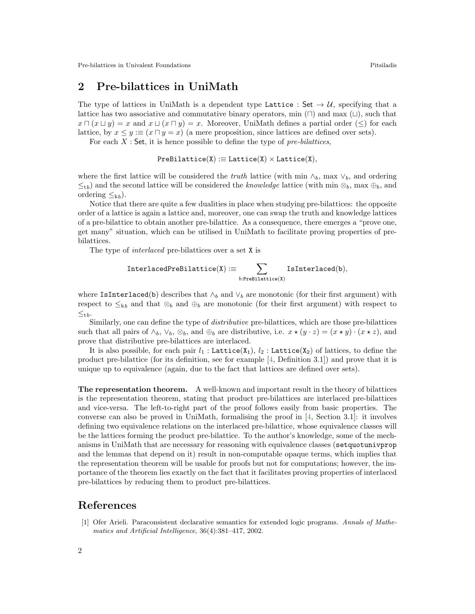# 2 Pre-bilattices in UniMath

The type of lattices in UniMath is a dependent type Lattice : Set  $\rightarrow U$ , specifying that a lattice has two associative and commutative binary operators, min  $(\Box)$  and max  $(\Box)$ , such that  $x \sqcap (x \sqcup y) = x$  and  $x \sqcup (x \sqcap y) = x$ . Moreover, UniMath defines a partial order (≤) for each lattice, by  $x \le y \equiv (x \sqcap y = x)$  (a mere proposition, since lattices are defined over sets).

For each  $X$ : Set, it is hence possible to define the type of pre-bilattices,

 $PreBilattice(X) := Lattice(X) \times Lattice(X),$ 

where the first lattice will be considered the *truth* lattice (with min  $\wedge_b$ , max  $\vee_b$ , and ordering  $\leq_{\text{t}}$ ) and the second lattice will be considered the knowledge lattice (with min  $\otimes_b$ , max  $\oplus_b$ , and ordering  $\leq_{kb}$ ).

Notice that there are quite a few dualities in place when studying pre-bilattices: the opposite order of a lattice is again a lattice and, moreover, one can swap the truth and knowledge lattices of a pre-bilattice to obtain another pre-bilattice. As a consequence, there emerges a "prove one, get many" situation, which can be utilised in UniMath to facilitate proving properties of prebilattices.

The type of interlaced pre-bilattices over a set X is

$$
\text{InterlacedPreBilattice}(X) := \sum_{b:PreBilattice(X)} IsInterlaced(b),
$$

where IsInterlaced(b) describes that  $\wedge_b$  and  $\vee_b$  are monotonic (for their first argument) with respect to  $\leq_{kb}$  and that  $\otimes_b$  and  $\oplus_b$  are monotonic (for their first argument) with respect to  $\leq_{\text{t}b}$ .

Similarly, one can define the type of distributive pre-bilattices, which are those pre-bilattices such that all pairs of  $\wedge_b$ ,  $\vee_b$ ,  $\otimes_b$ , and  $\oplus_b$  are distributive, i.e.  $x \star (y \cdot z) = (x \star y) \cdot (x \star z)$ , and prove that distributive pre-bilattices are interlaced.

It is also possible, for each pair  $l_1$ : Lattice(X<sub>1</sub>),  $l_2$ : Lattice(X<sub>2</sub>) of lattices, to define the product pre-bilattice (for its definition, see for example  $[4,$  Definition 3.1)) and prove that it is unique up to equivalence (again, due to the fact that lattices are defined over sets).

The representation theorem. A well-known and important result in the theory of bilattices is the representation theorem, stating that product pre-bilattices are interlaced pre-bilattices and vice-versa. The left-to-right part of the proof follows easily from basic properties. The converse can also be proved in UniMath, formalising the proof in [\[4,](#page-2-14) Section 3.1]: it involves defining two equivalence relations on the interlaced pre-bilattice, whose equivalence classes will be the lattices forming the product pre-bilattice. To the author's knowledge, some of the mechanisms in UniMath that are necessary for reasoning with equivalence classes (setquotunivprop and the lemmas that depend on it) result in non-computable opaque terms, which implies that the representation theorem will be usable for proofs but not for computations; however, the importance of the theorem lies exactly on the fact that it facilitates proving properties of interlaced pre-bilattices by reducing them to product pre-bilattices.

## References

<span id="page-1-0"></span>[1] Ofer Arieli. Paraconsistent declarative semantics for extended logic programs. Annals of Mathematics and Artificial Intelligence, 36(4):381–417, 2002.